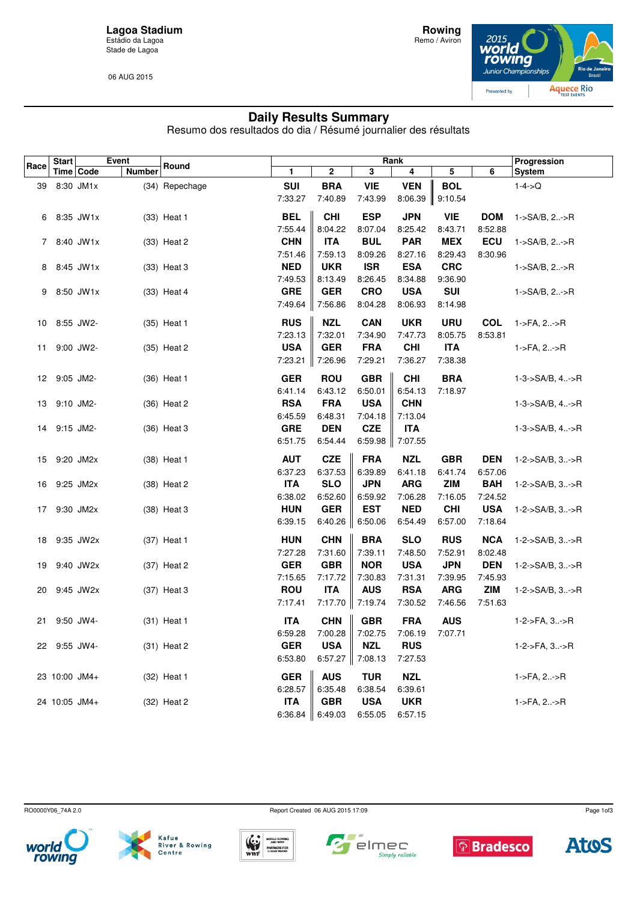**Lagoa Stadium** Estádio da Lagoa Stade de Lagoa

06 AUG 2015



## **Daily Results Summary**

Resumo dos resultados do dia / Résumé journalier des résultats

|      | Start         | Time   Code   | Event         | Round          |            |             | Progression             |            |                   |            |                             |
|------|---------------|---------------|---------------|----------------|------------|-------------|-------------------------|------------|-------------------|------------|-----------------------------|
| Race |               |               | <b>Number</b> |                | 1          | $\mathbf 2$ | $\overline{\mathbf{3}}$ | 4          | 5                 | 6          | System                      |
| 39   |               | 8:30 JM1x     |               | (34) Repechage | <b>SUI</b> | <b>BRA</b>  | <b>VIE</b>              | <b>VEN</b> | <b>BOL</b>        |            | $1 - 4 - > Q$               |
|      |               |               |               |                | 7:33.27    | 7:40.89     | 7:43.99                 |            | 8:06.39   9:10.54 |            |                             |
|      |               | 6 8:35 JW1x   |               | (33) Heat 1    | <b>BEL</b> | <b>CHI</b>  | <b>ESP</b>              | <b>JPN</b> | <b>VIE</b>        | <b>DOM</b> | 1->SA/B, 2->R               |
|      |               |               |               |                | 7:55.44    | 8:04.22     | 8:07.04                 | 8:25.42    | 8:43.71           | 8:52.88    |                             |
|      |               | 7 8:40 JW1x   |               | (33) Heat 2    | <b>CHN</b> | <b>ITA</b>  | <b>BUL</b>              | <b>PAR</b> | <b>MEX</b>        | ECU        | 1->SA/B, 2->R               |
|      |               |               |               |                | 7:51.46    | 7:59.13     | 8:09.26                 | 8:27.16    | 8:29.43           | 8:30.96    |                             |
|      |               | 8 8:45 JW1x   |               | (33) Heat 3    | <b>NED</b> | <b>UKR</b>  | <b>ISR</b>              | <b>ESA</b> | <b>CRC</b>        |            | 1->SA/B, 2->R               |
|      |               |               |               |                | 7:49.53    | 8:13.49     | 8:26.45                 | 8:34.88    | 9:36.90           |            |                             |
| 9    |               | 8:50 JW1x     |               | (33) Heat 4    | <b>GRE</b> | <b>GER</b>  | <b>CRO</b>              | <b>USA</b> | <b>SUI</b>        |            | $1 - S A/B$ , $2 - S R$     |
|      |               |               |               |                | 7:49.64    | 7:56.86     | 8:04.28                 | 8:06.93    | 8:14.98           |            |                             |
|      | 10 8:55 JW2-  |               |               | (35) Heat 1    | <b>RUS</b> | <b>NZL</b>  | <b>CAN</b>              | <b>UKR</b> | <b>URU</b>        | <b>COL</b> | 1->FA, 2->R                 |
|      |               |               |               |                | 7:23.13    | 7:32.01     | 7:34.90                 | 7:47.73    | 8:05.75           | 8:53.81    |                             |
| 11   |               | 9:00 JW2-     |               | (35) Heat 2    | <b>USA</b> | <b>GER</b>  | <b>FRA</b>              | <b>CHI</b> | <b>ITA</b>        |            | 1->FA, 2->R                 |
|      |               |               |               |                | 7:23.21    | 7:26.96     | 7:29.21                 | 7:36.27    | 7:38.38           |            |                             |
|      | 12 9:05 JM2-  |               |               | (36) Heat 1    | <b>GER</b> | <b>ROU</b>  | <b>GBR</b>              | <b>CHI</b> | <b>BRA</b>        |            | $1-3-$ >SA/B, 4->R          |
|      |               |               |               |                | 6:41.14    | 6:43.12     | 6:50.01                 | 6:54.13    | 7:18.97           |            |                             |
| 13   | 9:10 JM2-     |               |               | (36) Heat 2    | <b>RSA</b> | <b>FRA</b>  | <b>USA</b>              | <b>CHN</b> |                   |            | 1-3->SA/B, 4->R             |
|      |               |               |               |                | 6:45.59    | 6:48.31     | 7:04.18                 | 7:13.04    |                   |            |                             |
| 14   | 9:15 JM2-     |               |               | (36) Heat 3    | <b>GRE</b> | <b>DEN</b>  | <b>CZE</b>              | <b>ITA</b> |                   |            | $1 - 3 - S A/B$ , 4->R      |
|      |               |               |               |                | 6:51.75    | 6:54.44     | 6:59.98                 | 7:07.55    |                   |            |                             |
| 15   |               | 9:20 JM2x     |               | (38) Heat 1    | <b>AUT</b> | <b>CZE</b>  | <b>FRA</b>              | <b>NZL</b> | <b>GBR</b>        | <b>DEN</b> | $1 - 2 - S A/B$ , $3 - S R$ |
|      |               |               |               |                | 6:37.23    | 6:37.53     | 6:39.89                 | 6:41.18    | 6:41.74           | 6:57.06    |                             |
| 16   |               | 9:25 JM2x     |               | (38) Heat 2    | <b>ITA</b> | <b>SLO</b>  | <b>JPN</b>              | <b>ARG</b> | <b>ZIM</b>        | <b>BAH</b> | $1 - 2 - S A/B$ , $3 - S R$ |
|      |               |               |               |                | 6:38.02    | 6:52.60     | 6:59.92                 | 7:06.28    | 7:16.05           | 7:24.52    |                             |
|      | 17 9:30 JM2x  |               |               | (38) Heat 3    | <b>HUN</b> | <b>GER</b>  | <b>EST</b>              | <b>NED</b> | <b>CHI</b>        | <b>USA</b> | 1-2->SA/B, 3->R             |
|      |               |               |               |                | 6:39.15    | 6:40.26     | 6:50.06                 | 6:54.49    | 6:57.00           | 7:18.64    |                             |
| 18   |               | 9:35 JW2x     |               | (37) Heat 1    | <b>HUN</b> | <b>CHN</b>  | <b>BRA</b>              | <b>SLO</b> | <b>RUS</b>        | <b>NCA</b> | 1-2->SA/B, 3->R             |
|      |               |               |               |                | 7:27.28    | 7:31.60     | 7:39.11                 | 7:48.50    | 7:52.91           | 8:02.48    |                             |
| 19   |               | 9:40 JW2x     |               | (37) Heat 2    | <b>GER</b> | <b>GBR</b>  | <b>NOR</b>              | <b>USA</b> | <b>JPN</b>        | <b>DEN</b> | 1-2->SA/B, 3->R             |
|      |               |               |               |                | 7:15.65    | 7:17.72     | 7:30.83                 | 7:31.31    | 7:39.95           | 7:45.93    |                             |
| 20   |               | 9:45 JW2x     |               | (37) Heat 3    | <b>ROU</b> | <b>ITA</b>  | <b>AUS</b>              | <b>RSA</b> | <b>ARG</b>        | <b>ZIM</b> | 1-2->SA/B, 3->R             |
|      |               |               |               |                | 7:17.41    | 7:17.70     | 7:19.74                 | 7:30.52    | 7:46.56           | 7:51.63    |                             |
| 21   |               | 9:50 JW4-     |               | (31) Heat 1    | <b>ITA</b> | <b>CHN</b>  | <b>GBR</b>              | <b>FRA</b> | <b>AUS</b>        |            | 1-2->FA, 3->R               |
|      |               |               |               |                | 6:59.28    | 7:00.28     | 7:02.75                 | 7:06.19    | 7:07.71           |            |                             |
|      | 22 9:55 JW4-  |               |               | (31) Heat 2    | <b>GER</b> | <b>USA</b>  | <b>NZL</b>              | <b>RUS</b> |                   |            | 1-2->FA, 3->R               |
|      |               |               |               |                | 6:53.80    | 6:57.27     | 7:08.13                 | 7:27.53    |                   |            |                             |
|      |               | 23 10:00 JM4+ |               | (32) Heat 1    | <b>GER</b> | <b>AUS</b>  | <b>TUR</b>              | <b>NZL</b> |                   |            | 1->FA, 2->R                 |
|      |               |               |               |                | 6:28.57    | 6:35.48     | 6:38.54                 | 6:39.61    |                   |            |                             |
|      | 24 10:05 JM4+ |               |               | (32) Heat 2    | <b>ITA</b> | <b>GBR</b>  | <b>USA</b>              | <b>UKR</b> |                   |            | 1->FA, 2->R                 |
|      |               |               |               |                | 6:36.84    | 6:49.03     | 6:55.05                 | 6:57.15    |                   |            |                             |

RO0000Y06\_74A 2.0 Report Created 06 AUG 2015 17:09







 $\blacksquare$  $\sqrt{ }$  elmec Simply reliable





Page 1of3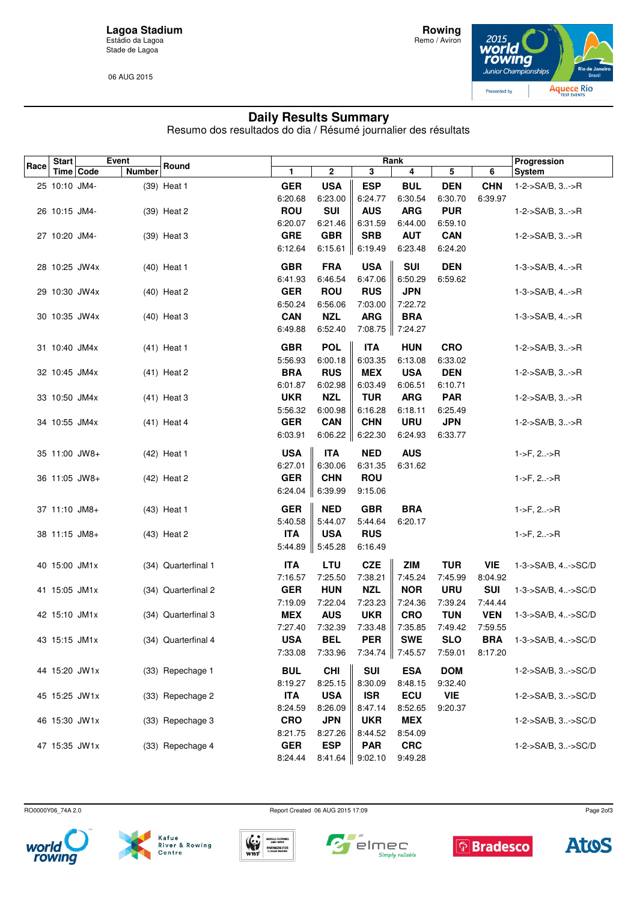**Lagoa Stadium** Estádio da Lagoa Stade de Lagoa

06 AUG 2015



## **Daily Results Summary**

Resumo dos resultados do dia / Résumé journalier des résultats

| Race | <b>Start</b>  | Event         |                     |            |                     | Progression             |            |            |            |                             |
|------|---------------|---------------|---------------------|------------|---------------------|-------------------------|------------|------------|------------|-----------------------------|
|      | Time   Code   | <b>Number</b> | Round               | 1          | 2                   | $\overline{\mathbf{3}}$ | 4          | 5          | 6          | <b>System</b>               |
|      | 25 10:10 JM4- |               | (39) Heat 1         | <b>GER</b> | <b>USA</b>          | <b>ESP</b>              | <b>BUL</b> | <b>DEN</b> | <b>CHN</b> | 1-2->SA/B, 3->R             |
|      |               |               |                     | 6:20.68    | 6:23.00             | 6:24.77                 | 6:30.54    | 6:30.70    | 6:39.97    |                             |
|      | 26 10:15 JM4- |               | (39) Heat 2         | <b>ROU</b> | <b>SUI</b>          | <b>AUS</b>              | <b>ARG</b> | <b>PUR</b> |            | 1-2->SA/B, 3->R             |
|      |               |               |                     | 6:20.07    | 6:21.46             | 6:31.59                 | 6:44.00    | 6:59.10    |            |                             |
|      | 27 10:20 JM4- |               | (39) Heat 3         | <b>GRE</b> | <b>GBR</b>          | <b>SRB</b>              | <b>AUT</b> | <b>CAN</b> |            | $1 - 2 - S A/B$ , $3 - S R$ |
|      |               |               |                     | 6:12.64    | 6:15.61 $\parallel$ | 6:19.49                 | 6:23.48    | 6:24.20    |            |                             |
|      | 28 10:25 JW4x |               | $(40)$ Heat 1       | <b>GBR</b> | <b>FRA</b>          | <b>USA</b>              | <b>SUI</b> | <b>DEN</b> |            | $1 - 3 - S A/B$ , $4 - S R$ |
|      |               |               |                     | 6:41.93    | 6:46.54             | 6:47.06                 | 6:50.29    | 6:59.62    |            |                             |
|      | 29 10:30 JW4x |               | (40) Heat 2         | <b>GER</b> | <b>ROU</b>          | <b>RUS</b>              | <b>JPN</b> |            |            | 1-3->SA/B, 4->R             |
|      |               |               |                     | 6:50.24    | 6:56.06             | 7:03.00                 | 7:22.72    |            |            |                             |
|      | 30 10:35 JW4x |               | (40) Heat 3         | <b>CAN</b> | <b>NZL</b>          | <b>ARG</b>              | <b>BRA</b> |            |            | $1 - 3 - S A/B$ , $4 - S R$ |
|      |               |               |                     | 6:49.88    | 6:52.40             | 7:08.75                 | 7:24.27    |            |            |                             |
|      | 31 10:40 JM4x |               | (41) Heat 1         | <b>GBR</b> | <b>POL</b>          | <b>ITA</b>              | <b>HUN</b> | <b>CRO</b> |            | 1-2->SA/B, 3->R             |
|      |               |               |                     | 5:56.93    | 6:00.18             | 6:03.35                 | 6:13.08    | 6:33.02    |            |                             |
|      | 32 10:45 JM4x |               | (41) Heat 2         | <b>BRA</b> | <b>RUS</b>          | <b>MEX</b>              | <b>USA</b> | <b>DEN</b> |            | $1 - 2 - S A/B$ , $3 - S R$ |
|      |               |               |                     | 6:01.87    | 6:02.98             | 6:03.49                 | 6:06.51    | 6:10.71    |            |                             |
|      | 33 10:50 JM4x |               | (41) Heat 3         | <b>UKR</b> | <b>NZL</b>          | <b>TUR</b>              | <b>ARG</b> | <b>PAR</b> |            | 1-2->SA/B, 3->R             |
|      |               |               |                     | 5:56.32    | 6:00.98             | 6:16.28                 | 6:18.11    | 6:25.49    |            |                             |
|      | 34 10:55 JM4x |               | $(41)$ Heat 4       | <b>GER</b> | <b>CAN</b>          | <b>CHN</b>              | <b>URU</b> | <b>JPN</b> |            | 1-2->SA/B, 3->R             |
|      |               |               |                     | 6:03.91    | 6:06.22             | 6:22.30                 | 6:24.93    | 6:33.77    |            |                             |
|      | 35 11:00 JW8+ |               | (42) Heat 1         | <b>USA</b> | <b>ITA</b>          | <b>NED</b>              | <b>AUS</b> |            |            | $1 - 5F$ , $2. - 5R$        |
|      |               |               |                     | 6:27.01    | 6:30.06             | 6:31.35                 | 6:31.62    |            |            |                             |
|      | 36 11:05 JW8+ |               | (42) Heat 2         | <b>GER</b> | <b>CHN</b>          | <b>ROU</b>              |            |            |            | $1 - F, 2 - F$              |
|      |               |               |                     | 6:24.04    | 6:39.99             | 9:15.06                 |            |            |            |                             |
|      | 37 11:10 JM8+ |               | (43) Heat 1         | <b>GER</b> | <b>NED</b>          | <b>GBR</b>              | <b>BRA</b> |            |            | $1 - F$ , $2 - F$           |
|      |               |               |                     | 5:40.58    | 5:44.07             | 5:44.64                 | 6:20.17    |            |            |                             |
|      | 38 11:15 JM8+ |               | (43) Heat 2         | <b>ITA</b> | <b>USA</b>          | <b>RUS</b>              |            |            |            | $1 - 5F$ , $2. - 5R$        |
|      |               |               |                     | 5:44.89    | 5:45.28             | 6:16.49                 |            |            |            |                             |
|      | 40 15:00 JM1x |               | (34) Quarterfinal 1 | <b>ITA</b> | <b>LTU</b>          | <b>CZE</b>              | <b>ZIM</b> | <b>TUR</b> | VIE        | 1-3->SA/B, 4->SC/D          |
|      |               |               |                     | 7:16.57    | 7:25.50             | 7:38.21                 | 7:45.24    | 7:45.99    | 8:04.92    |                             |
|      | 41 15:05 JM1x |               | (34) Quarterfinal 2 | <b>GER</b> | <b>HUN</b>          | <b>NZL</b>              | <b>NOR</b> | <b>URU</b> | <b>SUI</b> | 1-3->SA/B, 4->SC/D          |
|      |               |               |                     | 7:19.09    | 7:22.04             | 7:23.23                 | 7:24.36    | 7:39.24    | 7:44.44    |                             |
|      | 42 15:10 JM1x |               | (34) Quarterfinal 3 | <b>MEX</b> | <b>AUS</b>          | <b>UKR</b>              | <b>CRO</b> | <b>TUN</b> | <b>VEN</b> | 1-3->SA/B, 4->SC/D          |
|      |               |               |                     | 7:27.40    | 7:32.39             | 7:33.48                 | 7:35.85    | 7:49.42    | 7:59.55    |                             |
|      | 43 15:15 JM1x |               | (34) Quarterfinal 4 | <b>USA</b> | <b>BEL</b>          | <b>PER</b>              | <b>SWE</b> | <b>SLO</b> | <b>BRA</b> | 1-3->SA/B, 4->SC/D          |
|      |               |               |                     | 7:33.08    | 7:33.96             | 7:34.74                 | 7:45.57    | 7:59.01    | 8:17.20    |                             |
|      | 44 15:20 JW1x |               | (33) Repechage 1    | <b>BUL</b> | <b>CHI</b>          | <b>SUI</b>              | <b>ESA</b> | <b>DOM</b> |            | 1-2->SA/B, 3->SC/D          |
|      |               |               |                     | 8:19.27    | 8:25.15             | 8:30.09                 | 8:48.15    | 9:32.40    |            |                             |
|      | 45 15:25 JW1x |               | (33) Repechage 2    | <b>ITA</b> | <b>USA</b>          | <b>ISR</b>              | ECU        | <b>VIE</b> |            | 1-2->SA/B, 3->SC/D          |
|      |               |               |                     | 8:24.59    | 8:26.09             | 8:47.14                 | 8:52.65    | 9:20.37    |            |                             |
|      | 46 15:30 JW1x |               | (33) Repechage 3    | <b>CRO</b> | <b>JPN</b>          | <b>UKR</b>              | <b>MEX</b> |            |            | 1-2->SA/B, 3->SC/D          |
|      |               |               |                     | 8:21.75    | 8:27.26             | 8:44.52                 | 8:54.09    |            |            |                             |
|      | 47 15:35 JW1x |               | (33) Repechage 4    | <b>GER</b> | <b>ESP</b>          | <b>PAR</b>              | <b>CRC</b> |            |            | 1-2->SA/B, 3->SC/D          |
|      |               |               |                     | 8:24.44    | 8:41.64             | 9:02.10                 | 9:49.28    |            |            |                             |

RO0000Y06\_74A 2.0 RO0000Y06\_74A 2.0



Kafue<br>River & Rowing<br>Centre









Page 2of3